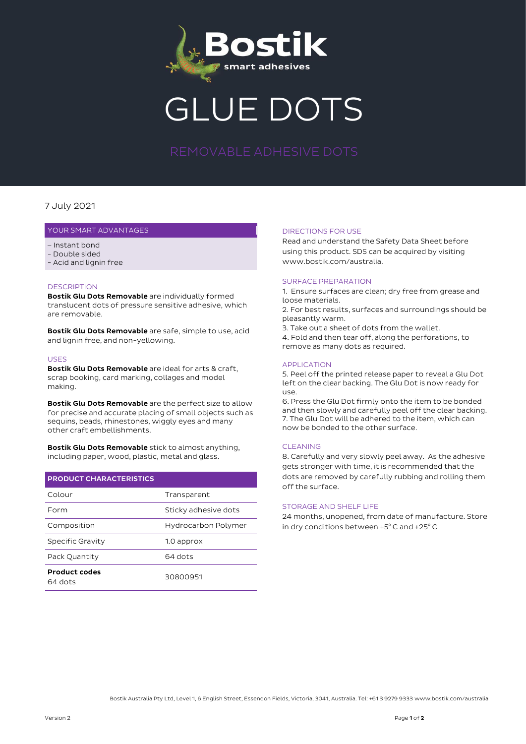

# GLUE DOTS

### 7 July 2021

#### YOUR SMART ADVANTAGES

- Instant bond
- Double sided
- Acid and lignin free

#### **DESCRIPTION**

Bostik Glu Dots Removable are individually formed translucent dots of pressure sensitive adhesive, which are removable.

Bostik Glu Dots Removable are safe, simple to use, acid and lignin free, and non-yellowing.

#### USES

Bostik Glu Dots Removable are ideal for arts & craft, scrap booking, card marking, collages and model making.

Bostik Glu Dots Removable are the perfect size to allow for precise and accurate placing of small objects such as sequins, beads, rhinestones, wiggly eyes and many other craft embellishments.

Bostik Glu Dots Removable stick to almost anything, including paper, wood, plastic, metal and glass.

| <b>PRODUCT CHARACTERISTICS</b>  |                      |
|---------------------------------|----------------------|
| Colour                          | Transparent          |
| Form                            | Sticky adhesive dots |
| Composition                     | Hydrocarbon Polymer  |
| Specific Gravity                | 1.0 approx           |
| Pack Quantity                   | 64 dots              |
| <b>Product codes</b><br>64 dots | 30800951             |

#### DIRECTIONS FOR USE

Read and understand the Safety Data Sheet before using this product. SDS can be acquired by visiting www.bostik.com/australia.

#### SURFACE PREPARATION

1. Ensure surfaces are clean; dry free from grease and loose materials.

2. For best results, surfaces and surroundings should be pleasantly warm.

3. Take out a sheet of dots from the wallet.

4. Fold and then tear off, along the perforations, to remove as many dots as required.

#### APPLICATION

5. Peel off the printed release paper to reveal a Glu Dot left on the clear backing. The Glu Dot is now ready for use.

6. Press the Glu Dot firmly onto the item to be bonded and then slowly and carefully peel off the clear backing. 7. The Glu Dot will be adhered to the item, which can now be bonded to the other surface.

#### **CLEANING**

8. Carefully and very slowly peel away. As the adhesive gets stronger with time, it is recommended that the dots are removed by carefully rubbing and rolling them off the surface.

#### STORAGE AND SHELF LIFE

24 months, unopened, from date of manufacture. Store in dry conditions between +5°C and +25°C